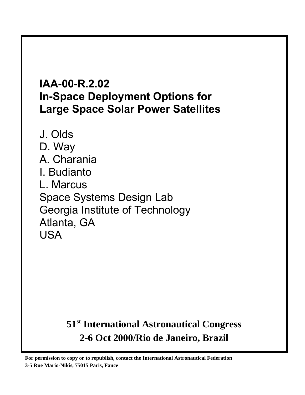# **IAA-00-R.2.02 In-Space Deployment Options for Large Space Solar Power Satellites**

J. Olds D. Way A. Charania I. Budianto L. Marcus Space Systems Design Lab Georgia Institute of Technology Atlanta, GA USA

## **51st International Astronautical Congress 2-6 Oct 2000/Rio de Janeiro, Brazil**

**For permission to copy or to republish, contact the International Astronautical Federation 3-5 Rue Mario-Nikis, 75015 Paris, Fance**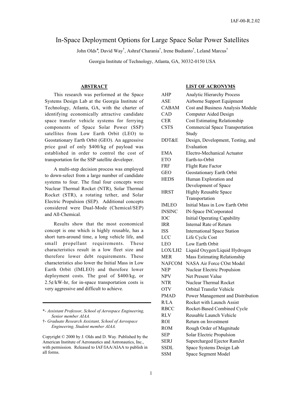## In-Space Deployment Options for Large Space Solar Power Satellites

John Olds<sup>∗</sup> , David Way† , Ashraf Charania† , Irene Budianto† , Leland Marcus†

Georgia Institute of Technology, Atlanta, GA, 30332-0150 USA

## **ABSTRACT**

This research was performed at the Space Systems Design Lab at the Georgia Institute of Technology, Atlanta, GA, with the charter of identifying economically attractive candidate space transfer vehicle systems for ferrying components of Space Solar Power (SSP) satellites from Low Earth Orbit (LEO) to Geostationary Earth Orbit (GEO). An aggressive price goal of only \$400/kg of payload was established in order to control the cost of transportation for the SSP satellite developer.

A multi-step decision process was employed to down-select from a large number of candidate systems to four. The final four concepts were Nuclear Thermal Rocket (NTR), Solar Thermal Rocket (STR), a rotating tether, and Solar Electric Propulsion (SEP). Additional concepts considered were Dual-Mode (Chemical/SEP) and All-Chemical.

Results show that the most economical concept is one which is highly reusable, has a short turn-around time, a long vehicle life, and small propellant requirements. These characteristics result in a low fleet size and therefore lower debt requirements. These characteristics also lower the Initial Mass in Low Earth Orbit (IMLEO) and therefore lower deployment costs. The goal of \$400/kg, or  $2.5¢/kW-hr$ , for in-space transportation costs is very aggressive and difficult to achieve.

\*- *Assistant Professor, School of Aerospace Engineering, Senior member AIAA.*

#### **LIST OF ACRONYMS**

| <b>AHP</b>    | Analytic Hierarchy Process             |
|---------------|----------------------------------------|
| ASE           | Airborne Support Equipment             |
| <b>CABAM</b>  | Cost and Business Analysis Module      |
| CAD           | Computer Aided Design                  |
| <b>CER</b>    | <b>Cost Estimating Relationship</b>    |
| <b>CSTS</b>   | <b>Commercial Space Transportation</b> |
|               | Study                                  |
| DDT&E         | Design, Development, Testing, and      |
|               | Evaluation                             |
| <b>EMA</b>    | <b>Electro-Mechanical Actuator</b>     |
| <b>ETO</b>    | Earth-to-Orbit                         |
| <b>FRF</b>    | <b>Flight Rate Factor</b>              |
| <b>GEO</b>    | Geostationary Earth Orbit              |
| <b>HEDS</b>   | Human Exploration and                  |
|               | Development of Space                   |
| <b>HRST</b>   | Highly Reusable Space                  |
|               | Transportation                         |
| <b>IMLEO</b>  | Initial Mass in Low Earth Orbit        |
| <b>INSINC</b> | IN-Space INCorporated                  |
| IOC           | Initial Operating Capability           |
| <b>IRR</b>    | Internal Rate of Return                |
| <b>ISS</b>    | <b>International Space Station</b>     |
| <b>LCC</b>    | Life Cycle Cost                        |
| LEO           | Low Earth Orbit                        |
| LOX/LH2       | Liquid Oxygen/Liquid Hydrogen          |
| <b>MER</b>    | Mass Estimating Relationship           |
| <b>NAFCOM</b> | <b>NASA Air Force COst Model</b>       |
| NEP           | Nuclear Electric Propulsion            |
| <b>NPV</b>    | Net Present Value                      |
| <b>NTR</b>    | Nuclear Thermal Rocket                 |
| <b>OTV</b>    | <b>Orbital Transfer Vehicle</b>        |
| <b>PMAD</b>   | Power Management and Distribution      |
| R/LA          | Rocket with Launch Assist              |
| <b>RBCC</b>   | Rocket-Based Combined Cycle            |
| <b>RLV</b>    | Reusable Launch Vehicle                |
| <b>ROI</b>    | Return on Investment                   |
| <b>ROM</b>    | Rough Order of Magnitude               |
| SEP           | Solar Electric Propulsion              |
| <b>SERJ</b>   | Supercharged Ejector RamJet            |
| <b>SSDL</b>   | Space Systems Design Lab               |
| <b>SSM</b>    | Space Segment Model                    |

<sup>†-</sup> *Graduate Research Assistant, School of Aerospace Engineering, Student member AIAA.*

Copyright © 2000 by J. Olds and D. Way. Published by the American Institute of Aeronautics and Astronautics, Inc., with permission. Released to IAF/IAA/AIAA to publish in all forms.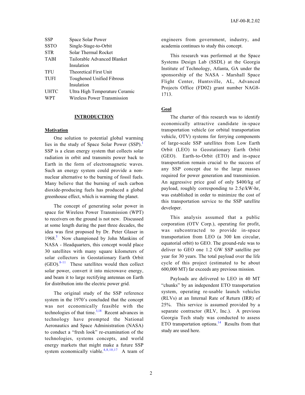| <b>SSP</b>  | Space Solar Power                  |
|-------------|------------------------------------|
| <b>SSTO</b> | Single-Stage-to-Orbit              |
| <b>STR</b>  | Solar Thermal Rocket               |
| <b>TABI</b> | Tailorable Advanced Blanket        |
|             | Insulation                         |
| <b>TFU</b>  | Theoretical First Unit             |
| <b>TUFI</b> | Toughened Unified Fibrous          |
|             | Insulation                         |
| <b>UHTC</b> | Ultra High Temperature Ceramic     |
| WPT         | <b>Wireless Power Transmission</b> |

#### **INTRODUCTION**

## **Motivation**

One solution to potential global warming lies in the study of Space Solar Power (SSP).<sup>1</sup> SSP is a clean energy system that collects solar radiation in orbit and transmits power back to Earth in the form of electromagnetic waves. Such an energy system could provide a nonnuclear alternative to the burning of fossil fuels. Many believe that the burning of such carbon dioxide-producing fuels has produced a global greenhouse effect, which is warming the planet.

The concept of generating solar power in space for Wireless Power Transmission (WPT) to receivers on the ground is not new. Discussed at some length during the past three decades, the idea was first proposed by Dr. Peter Glaser in 1968.<sup>5</sup> Now championed by John Mankins of NASA - Headquarters, this concept would place 30 satellites with many square kilometers of solar collectors in Geostationary Earth Orbit  $(GEO)$ .<sup>8-11</sup> These satellites would then collect solar power, convert it into microwave energy, and beam it to large rectifying antennas on Earth for distribution into the electric power grid.

The original study of the SSP reference system in the 1970's concluded that the concept was not economically feasible with the technologies of that time. $3,18$  Recent advances in technology have prompted the National Aeronautics and Space Administration (NASA) to conduct a "fresh look" re-examination of the technologies, systems concepts, and world energy markets that might make a future SSP system economically viable.<sup>4,8,10,17</sup> A team of engineers from government, industry, and academia continues to study this concept.

This research was performed at the Space Systems Design Lab (SSDL) at the Georgia Institute of Technology, Atlanta, GA under the sponsorship of the NASA - Marshall Space Flight Center, Huntsville, AL, Advanced Projects Office (FD02) grant number NAG8- 1713.

## **Goal**

The charter of this research was to identify economically attractive candidate in-space transportation vehicle (or orbital transportation vehicle, OTV) systems for ferrying components of large-scale SSP satellites from Low Earth Orbit (LEO) to Geostationary Earth Orbit (GEO). Earth-to-Orbit (ETO) and in-space transportation remain crucial to the success of any SSP concept due to the large masses required for power generation and transmission. An aggressive price goal of only \$400/kg of payload, roughly corresponding to  $2.5¢/kW-hr$ , was established in order to minimize the cost of this transportation service to the SSP satellite developer.

This analysis assumed that a public corporation (OTV Corp.), operating for profit, was subcontracted to provide in-space transportation from LEO (a 300 km circular, equatorial orbit) to GEO. The ground-rule was to deliver to GEO one 1.2 GW SSP satellite per year for 30 years. The total payload over the life cycle of this project (estimated to be about 600,000 MT) far exceeds any previous mission.

Payloads are delivered to LEO in 40 MT "chunks" by an independent ETO transportation system, operating re-usable launch vehicles (RLVs) at an Internal Rate of Return (IRR) of 25%. This service is assumed provided by a separate contractor (RLV, Inc.). A previous Georgia Tech study was conducted to assess ETO transportation options. $14$  Results from that study are used here.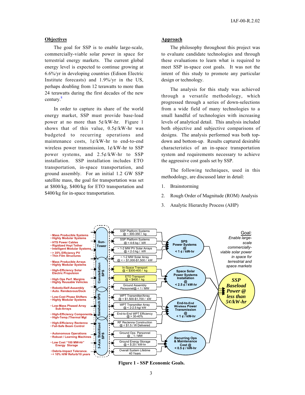#### **Objectives**

The goal for SSP is to enable large-scale, commercially-viable solar power in space for terrestrial energy markets. The current global energy level is expected to continue growing at 6.6%/yr in developing countries (Edison Electric Institute forecasts) and 1.9%/yr in the US, perhaps doubling from 12 terawatts to more than 24 terawatts during the first decades of the new century.<sup>8</sup>

In order to capture its share of the world energy market, SSP must provide base-load power at no more than  $5¢/kW-hr$ . Figure 1 shows that of this value,  $0.5¢/kW-hr$  was budgeted to recurring operations and maintenance costs, 1¢/kW-hr to end-to-end wireless power transmission,  $1¢/kW$ -hr to SSP power systems, and  $2.5¢/kW-hr$  to SSP installation. SSP installation includes ETO transportation, in-space transportation, and ground assembly. For an initial 1.2 GW SSP satellite mass, the goal for transportation was set at \$800/kg, \$400/kg for ETO transportation and \$400/kg for in-space transportation.

## **Approach**

The philosophy throughout this project was to evaluate candidate technologies and through these evaluations to learn what is required to meet SSP in-space cost goals. It was not the intent of this study to promote any particular design or technology.

The analysis for this study was achieved through a versatile methodology, which progressed through a series of down-selections from a wide field of many technologies to a small handful of technologies with increasing levels of analytical detail. This analysis included both objective and subjective comparisons of designs. The analysis performed was both topdown and bottom-up. Results captured desirable characteristics of an in-space transportation system and requirements necessary to achieve the aggressive cost goals set by SSP.

The following techniques, used in this methodology, are discussed later in detail:

- 1. Brainstorming
- 2. Rough Order of Magnitude (ROM) Analysis
- 3. Analytic Hierarchy Process (AHP)



**Figure 1 - SSP Economic Goals.**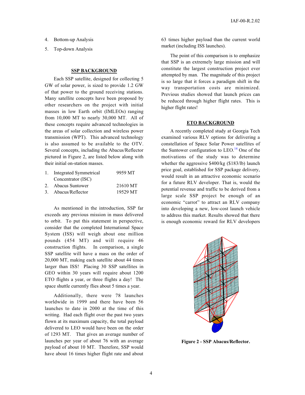- 4. Bottom-up Analysis
- 5. Top-down Analysis

#### **SSP BACKGROUND**

Each SSP satellite, designed for collecting 5 GW of solar power, is sized to provide 1.2 GW of that power to the ground receiving stations. Many satellite concepts have been proposed by other researchers on the project with initial masses in low Earth orbit (IMLEOs) ranging from 10,000 MT to nearly 30,000 MT. All of these concepts require advanced technologies in the areas of solar collection and wireless power transmission (WPT). This advanced technology is also assumed to be available to the OTV. Several concepts, including the Abacus/Reflector pictured in Figure 2, are listed below along with their initial on-station masses.

| 1. | Integrated Symmetrical | 9959 MT  |
|----|------------------------|----------|
|    | Concentrator (ISC)     |          |
|    | 2. Abacus Suntower     | 21610 MT |
|    | 3. Abacus/Reflector    | 19529 MT |

As mentioned in the introduction, SSP far exceeds any previous mission in mass delivered to orbit. To put this statement in perspective, consider that the completed International Space System (ISS) will weigh about one million pounds (454 MT) and will require 46 construction flights. In comparison, a single SSP satellite will have a mass on the order of 20,000 MT, making each satellite about 44 times larger than ISS! Placing 30 SSP satellites in GEO within 30 years will require about 1200 ETO flights a year, or three flights a day! The space shuttle currently flies about 5 times a year.

Additionally, there were 78 launches worldwide in 1999 and there have been 56 launches to date in 2000 at the time of this writing. Had each flight over the past two years flown at its maximum capacity, the total payload delivered to LEO would have been on the order of 1293 MT. That gives an average number of launches per year of about 76 with an average payload of about 10 MT. Therefore, SSP would have about 16 times higher flight rate and about

63 times higher payload than the current world market (including ISS launches).

The point of this comparison is to emphasize that SSP is an extremely large mission and will constitute the largest construction project ever attempted by man. The magnitude of this project is so large that it forces a paradigm shift in the way transportation costs are minimized. Previous studies showed that launch prices can be reduced through higher flight rates. This is higher flight rates!

#### **ETO BACKGROUND**

A recently completed study at Georgia Tech examined various RLV options for delivering a constellation of Space Solar Power satellites of the Suntower configuration to LEO.<sup>14</sup> One of the motivations of the study was to determine whether the aggressive \$400/kg (\$183/lb) launch price goal, established for SSP package delivery, would result in an attractive economic scenario for a future RLV developer. That is, would the potential revenue and traffic to be derived from a large scale SSP project be enough of an economic "carrot" to attract an RLV company into developing a new, low-cost launch vehicle to address this market. Results showed that there is enough economic reward for RLV developers



**Figure 2 - SSP Abacus/Reflector.**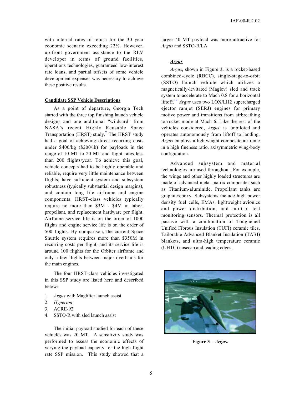with internal rates of return for the 30 year economic scenario exceeding 22%. However, up-front government assistance to the RLV developer in terms of ground facilities, operations technologies, guaranteed low-interest rate loans, and partial offsets of some vehicle development expenses was necessary to achieve these positive results.

## **Candidate SSP Vehicle Descriptions**

As a point of departure, Georgia Tech started with the three top finishing launch vehicle designs and one additional "wildcard" from NASA's recent Highly Reusable Space Transportation (HRST) study.<sup>7</sup> The HRST study had a goal of achieving direct recurring costs under \$400/kg (\$200/lb) for payloads in the range of 10 MT to 20 MT and flight rates less than 200 flights/year. To achieve this goal, vehicle concepts had to be highly operable and reliable, require very little maintenance between flights, have sufficient system and subsystem robustness (typically substantial design margins), and contain long life airframe and engine components. HRST-class vehicles typically require no more than \$3M - \$4M in labor, propellant, and replacement hardware per flight. Airframe service life is on the order of 1000 flights and engine service life is on the order of 500 flights. By comparison, the current Space Shuttle system requires more than \$350M in recurring costs per flight, and its service life is around 100 flights for the Orbiter airframe and only a few flights between major overhauls for the main engines.

The four HRST-class vehicles investigated in this SSP study are listed here and described below:

- 1. *Argus* with Maglifter launch assist
- 2. *Hyperion*
- 3. ACRE-92
- 4. SSTO-R with sled launch assist

The initial payload studied for each of these vehicles was 20 MT. A sensitivity study was performed to assess the economic effects of varying the payload capacity for the high flight rate SSP mission. This study showed that a

larger 40 MT payload was more attractive for *Argus* and SSTO-R/LA.

## *Argus*

*Argus*, shown in Figure 3, is a rocket-based combined-cycle (RBCC), single-stage-to-orbit (SSTO) launch vehicle which utilizes a magnetically-levitated (Maglev) sled and track system to accelerate to Mach 0.8 for a horizontal liftoff.<sup>12</sup> *Argus* uses two LOX/LH2 supercharged ejector ramjet (SERJ) engines for primary motive power and transitions from airbreathing to rocket mode at Mach 6. Like the rest of the vehicles considered, *Argus* is unpiloted and operates autonomously from liftoff to landing. *Argus* employs a lightweight composite airframe in a high fineness ratio, axisymmetric wing-body configuration.

Advanced subsystem and material technologies are used throughout. For example, the wings and other highly loaded structures are made of advanced metal matrix composites such as Titanium-aluminide. Propellant tanks are graphite/epoxy. Subsystems include high power density fuel cells, EMAs, lightweight avionics and power distribution, and built-in test monitoring sensors. Thermal protection is all passive with a combination of Toughened Unified Fibrous Insulation (TUFI) ceramic tiles, Tailorable Advanced Blanket Insulation (TABI) blankets, and ultra-high temperature ceramic (UHTC) nosecap and leading edges.



**Figure 3 –** *Argus***.**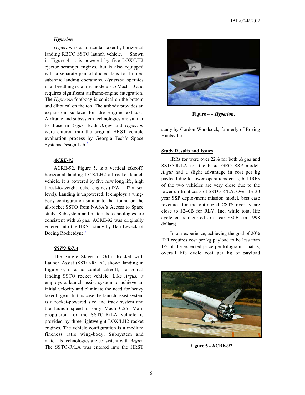## *Hyperion*

*Hyperion* is a horizontal takeoff, horizontal landing RBCC SSTO launch vehicle.<sup>13</sup> Shown in Figure 4, it is powered by five LOX/LH2 ejector scramjet engines, but is also equipped with a separate pair of ducted fans for limited subsonic landing operations. *Hyperion* operates in airbreathing scramjet mode up to Mach 10 and requires significant airframe-engine integration. The *Hyperion* forebody is conical on the bottom and elliptical on the top. The aftbody provides an expansion surface for the engine exhaust. Airframe and subsystem technologies are similar to those in *Argus*. Both *Argus* and *Hyperion* were entered into the original HRST vehicle evaluation process by Georgia Tech's Space Systems Design Lab.<sup>7</sup>

## *ACRE-92*

ACRE-92, Figure 5, is a vertical takeoff, horizontal landing LOX/LH2 all-rocket launch vehicle. It is powered by five new long life, high thrust-to-weight rocket engines  $(T/W = 92$  at sea level). Landing is unpowered. It employs a wingbody configuration similar to that found on the all-rocket SSTO from NASA's Access to Space study. Subsystem and materials technologies are consistent with *Argus*. ACRE-92 was originally entered into the HRST study by Dan Levack of Boeing Rocketdyne.<sup>7</sup>

#### *SSTO-R/LA*

The Single Stage to Orbit Rocket with Launch Assist (SSTO-R/LA), shown landing in Figure 6, is a horizontal takeoff, horizontal landing SSTO rocket vehicle. Like *Argus*, it employs a launch assist system to achieve an initial velocity and eliminate the need for heavy takeoff gear. In this case the launch assist system is a rocket-powered sled and track system and the launch speed is only Mach 0.25. Main propulsion for the SSTO-R/LA vehicle is provided by three lightweight LOX/LH2 rocket engines. The vehicle configuration is a medium fineness ratio wing-body. Subsystem and materials technologies are consistent with *Argus*. The SSTO-R/LA was entered into the HRST



**Figure 4 –** *Hyperion***.**

study by Gordon Woodcock, formerly of Boeing Huntsville.<sup>7</sup>

## **Study Results and Issues**

IRRs for were over 22% for both *Argus* and SSTO-R/LA for the basic GEO SSP model. *Argus* had a slight advantage in cost per kg payload due to lower operations costs, but IRRs of the two vehicles are very close due to the lower up-front costs of SSTO-R/LA. Over the 30 year SSP deployment mission model, best case revenues for the optimized CSTS overlay are close to \$240B for RLV, Inc. while total life cycle costs incurred are near \$80B (in 1998 dollars).

In our experience, achieving the goal of 20% IRR requires cost per kg payload to be less than 1/2 of the expected price per kilogram. That is, overall life cycle cost per kg of payload



**Figure 5 - ACRE-92.**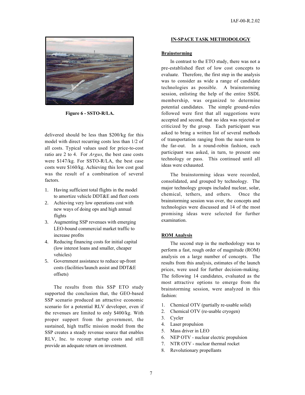

**Figure 6 - SSTO-R/LA.**

delivered should be less than \$200/kg for this model with direct recurring costs less than 1/2 of all costs. Typical values used for price-to-cost ratio are 2 to 4. For *Argus*, the best case costs were \$147/kg. For SSTO-R/LA, the best case costs were \$160/kg. Achieving this low cost goal was the result of a combination of several factors.

- 1. Having sufficient total flights in the model to amortize vehicle DDT&E and fleet costs
- 2. Achieving very low operations cost with new ways of doing ops and high annual flights
- 3. Augmenting SSP revenues with emerging LEO-bound commercial market traffic to increase profits
- 4. Reducing financing costs for initial capital (low interest loans and smaller, cheaper vehicles)
- 5. Government assistance to reduce up-front costs (facilities/launch assist and DDT&E offsets)

The results from this SSP ETO study supported the conclusion that, the GEO-based SSP scenario produced an attractive economic scenario for a potential RLV developer, even if the revenues are limited to only \$400/kg. With proper support from the government, the sustained, high traffic mission model from the SSP creates a steady revenue source that enables RLV, Inc. to recoup startup costs and still provide an adequate return on investment.

#### **IN-SPACE TASK METHODOLOGY**

#### **Brainstorming**

In contrast to the ETO study, there was not a pre-established fleet of low cost concepts to evaluate. Therefore, the first step in the analysis was to consider as wide a range of candidate technologies as possible. A brainstorming session, enlisting the help of the entire SSDL membership, was organized to determine potential candidates. The simple ground-rules followed were first that all suggestions were accepted and second, that no idea was rejected or criticized by the group. Each participant was asked to bring a written list of several methods of transportation ranging from the near-term to the far-out. In a round-robin fashion, each participant was asked, in turn, to present one technology or pass. This continued until all ideas were exhausted.

The brainstorming ideas were recorded, consolidated, and grouped by technology. The major technology groups included nuclear, solar, chemical, tethers, and others. Once the brainstorming session was over, the concepts and technologies were discussed and 14 of the most promising ideas were selected for further examination.

#### **ROM Analysis**

The second step in the methodology was to perform a fast, rough order of magnitude (ROM) analysis on a large number of concepts. The results from this analysis, estimates of the launch prices, were used for further decision-making. The following 14 candidates, evaluated as the most attractive options to emerge from the brainstorming session, were analyzed in this fashion:

- 1. Chemical OTV (partially re-usable solid)
- 2. Chemical OTV (re-usable cryogen)
- 3. Cycler
- 4. Laser propulsion
- 5. Mass driver in LEO
- 6. NEP OTV nuclear electric propulsion
- 7. NTR OTV nuclear thermal rocket
- 8. Revolutionary propellants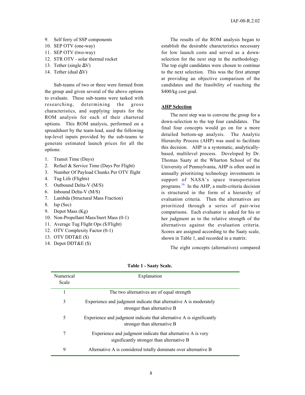- 9. Self ferry of SSP components
- 10. SEP OTV (one-way)
- 11. SEP OTV (two-way)
- 12. STR OTV solar thermal rocket
- 13. Tether (single  $\Delta V$ )
- 14. Tether (dual  $\Delta V$ )

Sub-teams of two or three were formed from the group and given several of the above options to evaluate. These sub-teams were tasked with researching, determining the gross characteristics, and supplying inputs for the ROM analysis for each of their chartered options. This ROM analysis, performed on a spreadsheet by the team-lead, used the following top-level inputs provided by the sub-teams to generate estimated launch prices for all the options:

- 1. Transit Time (Days)
- 2. Refuel & Service Time (Days Per Flight)
- 3. Number Of Payload Chunks Per OTV flight
- 4. Tug Life (Flights)
- 5. Outbound Delta-V (M/S)
- 6. Inbound Delta-V (M/S)
- 7. Lambda (Structural Mass Fraction)
- 8. Isp (Sec)
- 9. Depot Mass (Kg)
- 10. Non-Propellant Mass/Inert Mass (0-1)
- 11. Average Tug Flight Ops (\$/Flight)
- 12. OTV Complexity Factor (0-1)
- 13. OTV DDT&E (\$)
- 14. Depot DDT&E (\$)

The results of the ROM analysis began to establish the desirable characteristics necessary for low launch costs and served as a downselection for the next step in the methodology. The top eight candidates were chosen to continue to the next selection. This was the first attempt at providing an objective comparison of the candidates and the feasibility of reaching the \$400/kg cost goal.

#### **AHP Selection**

The next step was to convene the group for a down-selection to the top four candidates. The final four concepts would go on for a more detailed bottom-up analysis. The Analytic Hierarchy Process (AHP) was used to facilitate this decision. AHP is a systematic, analyticallybased, multilevel process. Developed by Dr. Thomas Saaty at the Wharton School of the University of Pennsylvania, AHP is often used in annually prioritizing technology investments in support of NASA's space transportation programs. $\frac{16}{10}$  In the AHP, a multi-criteria decision is structured in the form of a hierarchy of evaluation criteria. Then the alternatives are prioritized through a series of pair-wise comparisons. Each evaluator is asked for his or her judgment as to the relative strength of the alternatives against the evaluation criteria. Scores are assigned according to the Saaty scale, shown in Table 1, and recorded in a matrix:

The eight concepts (alternatives) compared

| Numerical<br>Scale | Explanation                                                                                              |
|--------------------|----------------------------------------------------------------------------------------------------------|
| 1                  | The two alternatives are of equal strength                                                               |
| 3                  | Experience and judgment indicate that alternative A is moderately<br>stronger than alternative B         |
| 5                  | Experience and judgment indicate that alternative A is significantly<br>stronger than alternative B      |
| 7                  | Experience and judgment indicate that alternative A is very<br>significantly stronger than alternative B |
| 9                  | Alternative A is considered totally dominate over alternative B                                          |

#### **Table 1 - Saaty Scale.**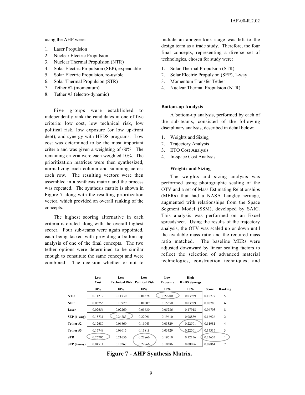using the AHP were:

- 1. Laser Propulsion
- 2. Nuclear Electric Propulsion
- 3. Nuclear Thermal Propulsion (NTR)
- 4. Solar Electric Propulsion (SEP), expendable
- 5. Solar Electric Propulsion, re-usable
- 6. Solar Thermal Propulsion (STR)
- 7. Tether #2 (momentum)
- 8. Tether #3 (electro-dynamic)

Five groups were established to independently rank the candidates in one of five criteria: low cost, low technical risk, low political risk, low exposure (or low up-front debt), and synergy with HEDS programs. Low cost was determined to be the most important criteria and was given a weighting of 60%. The remaining criteria were each weighted 10%. The prioritization matrices were then synthesized, normalizing each column and summing across each row. The resulting vectors were then assembled in a synthesis matrix and the process was repeated. The synthesis matrix is shown in Figure 7 along with the resulting prioritization vector, which provided an overall ranking of the concepts.

The highest scoring alternative in each criteria is circled along with the overall highest scorer. Four sub-teams were again appointed, each being tasked with providing a bottom-up analysis of one of the final concepts. The two tether options were determined to be similar enough to constitute the same concept and were combined. The decision whether or not to include an apogee kick stage was left to the design team as a trade study. Therefore, the four final concepts, representing a diverse set of technologies, chosen for study were:

- 1. Solar Thermal Propulsion (STR)
- 2. Solar Electric Propulsion (SEP), 1-way
- 3. Momentum Transfer Tether
- 4. Nuclear Thermal Propulsion (NTR)

#### **Bottom-up Analysis**

A bottom-up analysis, performed by each of the sub-teams, consisted of the following disciplinary analysis, described in detail below:

- 1. Weights and Sizing
- 2. Trajectory Analysis
- 3. ETO Cost Analysis
- 4. In-space Cost Analysis

## **Weights and Sizing**

The weights and sizing analysis was performed using photographic scaling of the OTV and a set of Mass Estimating Relationships (MERs) that had a NASA Langley heritage, augmented with relationships from the Space Segment Model (SSM), developed by SAIC. This analysis was performed on an Excel spreadsheet. Using the results of the trajectory analysis, the OTV was scaled up or down until the available mass ratio and the required mass ratio matched. The baseline MERs were adjusted downward by linear scaling factors to reflect the selection of advanced material technologies, construction techniques, and

|              | Low<br>Cost | Low<br><b>Technical Risk</b> | Low<br><b>Political Risk</b> | Low<br><b>Exposure</b> | High<br><b>HEDS Synergy</b> |              |                |
|--------------|-------------|------------------------------|------------------------------|------------------------|-----------------------------|--------------|----------------|
|              | 60%         | 10%                          | 10%                          | 10%                    | 10%                         | <b>Score</b> | Ranking        |
| <b>NTR</b>   | 0.11212     | 0.11730                      | 0.01878                      | 0.22900                | 0.03989                     | 0.10777      | 5              |
| <b>NEP</b>   | 0.08755     | 0.13929                      | 0.01809                      | 0.15550                | 0.03989                     | 0.08780      | 6              |
| Laser        | 0.02656     | 0.02260                      | 0.05630                      | 0.05286                | 0.17918                     | 0.04703      | 8              |
| $SEP(1-wav)$ | 0.15731     | 0.24283                      | 0.22091                      | 0.19610                | 0.08889                     | 0.16926      | 2              |
| Tether #2    | 0.12680     | 0.06860                      | 0.11043                      | 0.03329                | 0.22501                     | 0.11981      | $\overline{4}$ |
| Tether #3    | 0.17749     | 0.09015                      | 0.11818                      | 0.03329                | 0.22501                     | 0.15316      | 3              |
| <b>STR</b>   | 0.26706     | 0.21656                      | 0.22866                      | 0.19610                | 0.12156                     | 0.23653      |                |
| $SEP(2-Way)$ | 0.04511     | 0.10267                      | 0.22866                      | 0.10386                | 0.08056                     | 0.07864      | 7              |

**Figure 7 - AHP Synthesis Matrix.**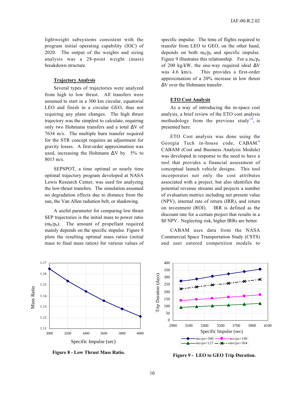lightweight subsystems consistent with the program initial operating capability (IOC) of 2020. The output of the weights and sizing analysis was a 28-point weight (mass) breakdown structure.

#### **Trajectory Analysis**

Several types of trajectories were analyzed from high to low thrust. All transfers were assumed to start in a 300 km circular, equatorial LEO and finish in a circular GEO, thus not requiring any plane changes. The high thrust trajectory was the simplest to calculate, requiring only two Hohmann transfers and a total ∆V of 7634 m/s. The multiple burn transfer required for the STR concept requires an adjustment for gravity losses. A first-order approximation was used, increasing the Hohmann  $\Delta V$  by 5% to 8015 m/s.

SEPSPOT, a time optimal or nearly time optimal trajectory program developed at NASA Lewis Research Center, was used for analyzing the low-thrust transfers. The simulation assumed no degradation effects due to distance from the sun, the Van Allen radiation belt, or shadowing.

A useful parameter for comparing low thrust SEP trajectories is the initial mass to power ratio  $(m_0/p_0)$ . The amount of propellant required mainly depends on the specific impulse. Figure 8 plots the resulting optimal mass ratios (initial mass to final mass ratios) for various values of specific impulse. The time of flights required to transfer from LEO to GEO, on the other hand, depends on both  $m_0/p_0$  and specific impulse. Figure 9 illustrates this relationship. For a  $m_0/p_0$ of 200 kg/kW, the one-way required ideal ∆V was 4.6 km/s. This provides a first-order approximation of a 20% increase in low thrust ∆V over the Hohmann transfer.

#### **ETO Cost Analysis**

As a way of introducing the in-space cost analysis, a brief review of the ETO cost analysis methodology from the previous study<sup>14</sup>, is presented here.

ETO Cost analysis was done using the Georgia Tech in-house code, CABAM.<sup>6</sup> CABAM (Cost and Business Analysis Module) was developed in response to the need to have a tool that provides a financial assessment of conceptual launch vehicle designs. This tool incorporates not only the cost attributes associated with a project, but also identifies the potential revenue streams and projects a number of evaluation metrics including net present value (NPV), internal rate of return (IRR), and return on investment (ROI). IRR is defined as the discount rate for a certain project that results in a \$0 NPV. Neglecting risk, higher IRRs are better.

CABAM uses data from the NASA Commercial Space Transportation Study (CSTS) and user entered competition models to





3000 3200 3400 3600 3800 4000 Specific Impulse (sec)

1.11

1.12

1.13

1.14

Mass Ratio

Mass Ratio

1.15

1.16

1.17

**Figure 9 - LEO to GEO Trip Duration.**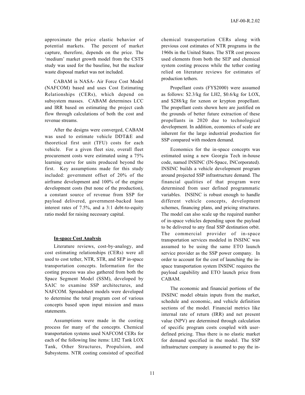approximate the price elastic behavior of potential markets. The percent of market capture, therefore, depends on the price. The 'medium' market growth model from the CSTS study was used for the baseline, but the nuclear waste disposal market was not included.

CABAM is NASA- Air Force Cost Model (NAFCOM) based and uses Cost Estimating Relationships (CERs), which depend on subsystem masses. CABAM determines LCC and IRR based on estimating the project cash flow through calculations of both the cost and revenue streams.

After the designs were converged, CABAM was used to estimate vehicle DDT&E and theoretical first unit (TFU) costs for each vehicle. For a given fleet size, overall fleet procurement costs were estimated using a 75% learning curve for units produced beyond the first. Key assumptions made for this study included: government offset of 20% of the airframe development and 100% of the engine development costs (but none of the production), a constant source of revenue from SSP for payload delivered, government-backed loan interest rates of 7.5%, and a 3:1 debt-to-equity ratio model for raising necessary capital.

## **In-space Cost Analysis**

Literature reviews, cost-by-analogy, and cost estimating relationships (CERs) were all used to cost tether, NTR, STR, and SEP in-space transportation concepts. Information for the costing process was also gathered from both the Space Segment Model (SSM), developed by SAIC to examine SSP architectures, and NAFCOM. Spreadsheet models were developed to determine the total program cost of various concepts based upon input mission and mass statements.

Assumptions were made in the costing process for many of the concepts. Chemical transportation systems used NAFCOM CERs for each of the following line items: LH2 Tank LOX Tank, Other Structures, Propulsion, and Subsystems. NTR costing consisted of specified chemical transportation CERs along with previous cost estimates of NTR programs in the 1960s in the United States. The STR cost process used elements from both the SEP and chemical system costing process while the tether costing relied on literature reviews for estimates of production tethers.

Propellant costs (FY\$2000) were assumed as follows: \$2.3/kg for LH2, \$0.6/kg for LOX, and \$288/kg for xenon or krypton propellant. The propellant costs shown here are justified on the grounds of better future extraction of these propellants in 2020 due to technological development. In addition, economics of scale are inherent for the large industrial production for SSP compared with modern demand.

Economics for the in-space concepts was estimated using a new Georgia Tech in-house code, named INSINC (IN-Space, INCorporated). INSINC builds a vehicle development program around projected SSP infrastructure demand. The financial qualities of that program were determined from user defined programmatic variables. INSINC is robust enough to handle different vehicle concepts, development schemes, financing plans, and pricing structures. The model can also scale up the required number of in-space vehicles depending upon the payload to be delivered to any final SSP destination orbit. The commercial provider of in-space transportation services modeled in INSINC was assumed to be using the same ETO launch service provider as the SSP power company. In order to account for the cost of launching the inspace transportation system INSINC requires the payload capability and ETO launch price from CABAM.

The economic and financial portions of the INSINC model obtain inputs from the market, schedule and economic, and vehicle definition sections of the model. Financial metrics like internal rate of return (IRR) and net present value (NPV) are determined through calculation of specific program costs coupled with userdefined pricing. Thus there is no elastic market for demand specified in the model. The SSP infrastructure company is assumed to pay the in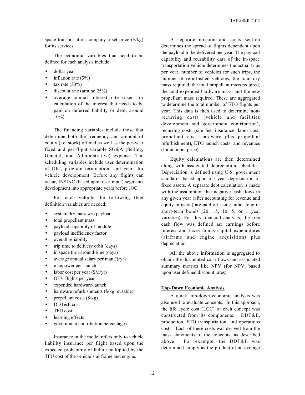space transportation company a set price  $(\frac{f}{g})$ for its services.

The economic variables that need to be defined for each analysis include:

- dollar year
- $\bullet$  inflation rate (3%)
- tax rate  $(30\%)$
- discount rate (around  $25\%$ )
- average annual interest rate (used for calculation of the interest that needs to be paid on deferred liability or debt, around 10%)

The financing variables include those that determine both the frequency and amount of equity (i.e. stock) offered as well as the per-year fixed and per-flight variable SG&A (Selling, General, and Administrative) expense. The scheduling variables include user determination of IOC, program termination, and years for vehicle development. Before any flights can occur, INSINC (based upon user input) segments development into appropriate years before IOC.

For each vehicle the following fleet definition variables are needed:

- system dry mass w/o payload
- total propellant mass
- payload capability of module
- payload inefficiency factor
- overall reliability
- trip time to delivery orbit (days)
- in space turn-around-time (days)
- average annual salary per man  $(\frac{f}{y})$
- manpower per launch
- labor cost per year (\$M/yr)
- OTV flights per year
- expended hardware/launch
- hardware refurbishments ( $\frac{s}{kg}$  reusable)
- propellant costs  $(\frac{6}{kg})$
- DDT&E cost
- TFU cost
- learning effects
- government contribution percentages

Insurance in the model refers only to vehicle liability insurance per flight based upon the expected probability of failure multiplied by the TFU cost of the vehicle's airframe and engine.

A separate mission and costs section determines the spread of flights dependent upon the payload to be delivered per year. The payload capability and reusability data of the in-space transportation vehicle determines the actual trips per year, number of vehicles for such trips, the number of refurbished vehicles, the total dry mass required, the total propellant mass required, the total expended hardware mass, and the new propellant mass required. These are aggregated to determine the total number of ETO flights per year. This data is then used to determine nonrecurring costs (vehicle and facilities development and government contribution), recurring costs (site fee, insurance, labor cost, propellant cost, hardware plus propellant refurbishment), ETO launch costs, and revenues (for an input price).

Equity calculations are then determined along with associated depreciation schedules. Depreciation is defined using U.S. government standards based upon a 5-year depreciation of fixed assets. A separate debt calculation is made with the assumption that negative cash flows in any given year (after accounting for revenue and equity infusion) are paid off using either long or short-term bonds (20, 15, 10, 5, or 1 year varieties). For this financial analysis, the free cash flow was defined as: earnings before interest and taxes minus capital expenditures (airframe and engine acquisition) plus depreciation

All the above information is aggregated to obtain the discounted cash flows and associated summary metrics like NPV (for NPV, based upon user defined discount rates).

## **Top-Down Economic Analysis**

A quick, top-down economic analysis was also used to evaluate concepts. In this approach, the life cycle cost (LCC) of each concept was constructed from its components: DDT&E, production, ETO transportation, and operations costs. Each of these costs was derived from the mass statements of the concepts, as described above. For example, the DDT&E was determined simply as the product of an average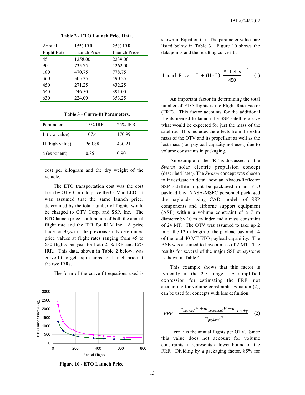| Annual             | 15% IRR      | 25% IRR      |
|--------------------|--------------|--------------|
| <b>Flight Rate</b> | Launch Price | Launch Price |
| 45                 | 1258.00      | 2239.00      |
| 90                 | 735.75       | 1262.00      |
| 180                | 470.75       | 778.75       |
| 360                | 305.25       | 490.25       |
| 450                | 271.25       | 432.25       |
| 540                | 246.50       | 391.00       |
| 630                | 224.00       | 353.25       |
|                    |              |              |

**Table 2 - ETO Launch Price Data.**

| Table 3 - Curve-fit Parameters. |  |  |
|---------------------------------|--|--|
|---------------------------------|--|--|

| Parameter       | 15% IRR | 25% IRR |
|-----------------|---------|---------|
| $L$ (low value) | 107.41  | 170.99  |
| H (high value)  | 269.88  | 430.21  |
| a (exponent)    | 0.85    | 0.90    |

cost per kilogram and the dry weight of the vehicle.

The ETO transportation cost was the cost born by OTV Corp. to place the OTV in LEO. It was assumed that the same launch price, determined by the total number of flights, would be charged to OTV Corp. and SSP, Inc. The ETO launch price is a function of both the annual flight rate and the IRR for RLV Inc. A price trade for *Argus* in the previous study determined price values at flight rates ranging from 45 to 630 flights per year for both 25% IRR and 15% IRR. This data, shown in Table 2 below, was curve-fit to get expressions for launch price at the two IRRs.

The form of the curve-fit equations used is



shown in Equation (1). The parameter values are listed below in Table 3. Figure 10 shows the data points and the resulting curve fits.

Launch Price = L + (H - L)
$$
\left(\frac{\text{# flights}}{450}\right)^{-a}
$$
 (1)

An important factor in determining the total number of ETO flights is the Flight Rate Factor (FRF). This factor accounts for the additional flights needed to launch the SSP satellite above what would be expected for just the mass of the satellite. This includes the effects from the extra mass of the OTV and its propellant as well as the lost mass (i.e. payload capacity not used) due to volume constraints in packaging.

An example of the FRF is discussed for the *Swarm* solar electric propulsion concept (described later). The *Swarm* concept was chosen to investigate in detail how an Abacus/Reflector SSP satellite might be packaged in an ETO payload bay. NASA-MSFC personnel packaged the payloads using CAD models of SSP components and airborne support equipment (ASE) within a volume constraint of a 7 m diameter by 10 m cylinder and a mass constraint of 24 MT. The OTV was assumed to take up 2 m of the 12 m length of the payload bay and 14 of the total 40 MT ETO payload capability. The ASE was assumed to have a mass of 2 MT. The results for several of the major SSP subsystems is shown in Table 4.

This example shows that this factor is typically in the 2-3 range. A simplified expression for estimating the FRF, not accounting for volume constraints, Equation (2), can be used for concepts with less definition:

$$
FRF = \frac{m_{payload}F + m_{propellant}F + m_{OTV dry}}{m_{payload}F}
$$
 (2)

Here F is the annual flights per OTV. Since this value does not account for volume constraints, it represents a lower bound on the FRF. Dividing by a packaging factor, 85% for

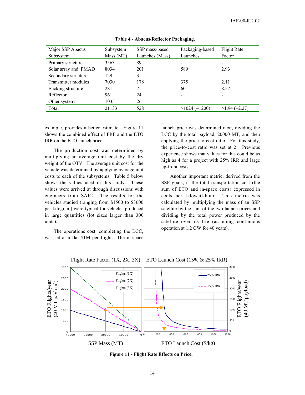| Major SSP Abacus<br>Subsystem | Subsystem<br>Mass (MT) | SSP mass-based<br>Launches (Mass) | Packaging-based<br>Launches | Flight Rate<br>Factor  |
|-------------------------------|------------------------|-----------------------------------|-----------------------------|------------------------|
| Primary structure             | 3563                   | 89                                |                             |                        |
| Solar array and PMAD          | 8034                   | 201                               | 589                         | 2.93                   |
| Secondary structure           | 129                    | 3                                 | $\overline{\phantom{a}}$    | -                      |
| Transmitter modules           | 7030                   | 178                               | 375                         | 2.11                   |
| Backing structure             | 281                    | 7                                 | 60                          | 8.57                   |
| Reflector                     | 961                    | 24                                |                             |                        |
| Other systems                 | 1035                   | 26                                | $\overline{\phantom{0}}$    |                        |
| Total                         | 21133                  | 528                               | $>1024$ ( $\sim$ 1200)      | $>1.94$ ( $\sim$ 2.27) |

**Table 4 - Abacus/Reflector Packaging.**

example, provides a better estimate. Figure 11 shows the combined effect of FRF and the ETO IRR on the ETO launch price.

The production cost was determined by multiplying an average unit cost by the dry weight of the OTV. The average unit cost for the vehicle was determined by applying average unit costs to each of the subsystems. Table 5 below shows the values used in this study. These values were arrived at through discussions with engineers from SAIC. The results for the vehicles studied (ranging from \$1500 to \$3600 per kilogram) were typical for vehicles produced in large quantities (lot sizes larger than 300 units).

The operations cost, completing the LCC, was set at a flat \$1M per flight. The in-space launch price was determined next, dividing the LCC by the total payload, 20000 MT, and then applying the price-to-cost ratio. For this study, the price-to-cost ratio was set at 2. Previous experience shows that values for this could be as high as 4 for a project with 25% IRR and large up-front costs.

Another important metric, derived from the SSP goals, is the total transportation cost (the sum of ETO and in-space costs) expressed in cents per kilowatt-hour. This metric was calculated by multiplying the mass of an SSP satellite by the sum of the two launch prices and dividing by the total power produced by the satellite over its life (assuming continuous operation at 1.2 GW for 40 years).



Flight Rate Factor (1X, 2X, 3X) ETO Launch Cost (15% & 25% IRR)

**Figure 11 - Flight Rate Effects on Price.**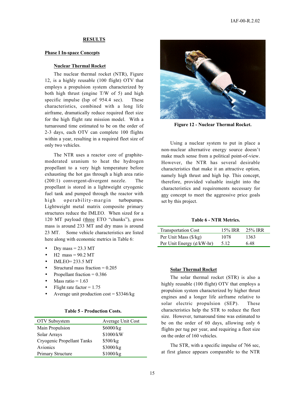## **RESULTS**

## **Phase I In-space Concepts**

## **Nuclear Thermal Rocket**

The nuclear thermal rocket (NTR), Figure 12, is a highly reusable (100 flight) OTV that employs a propulsion system characterized by both high thrust (engine T/W of 5) and high specific impulse (Isp of 954.4 sec). These characteristics, combined with a long life airframe, dramatically reduce required fleet size for the high flight rate mission model. With a turnaround time estimated to be on the order of 2-3 days, each OTV can complete 100 flights within a year, resulting in a required fleet size of only two vehicles.

The NTR uses a reactor core of graphitemoderated uranium to heat the hydrogen propellant to a very high temperature before exhausting the hot gas through a high area ratio (200:1) convergent-divergent nozzle. The propellant is stored in a lightweight cryogenic fuel tank and pumped through the reactor with high operability-margin turbopumps. Lightweight metal matrix composite primary structures reduce the IMLEO. When sized for a 120 MT payload (three ETO "chunks"), gross mass is around 233 MT and dry mass is around 23 MT. Some vehicle characteristics are listed here along with economic metrics in Table 6:

- Dry mass  $= 23.3$  MT
- $H2$  mass = 90.2 MT
- IMLEO= 233.5 MT
- Structural mass fraction  $= 0.205$
- Propellant fraction = 0.386
- Mass ratio =  $1.63$
- Flight rate factor  $= 1.75$
- Average unit production  $cost = $3346/kg$

### **Table 5 - Production Costs.**

| OTV Subsystem              | Average Unit Cost |
|----------------------------|-------------------|
| Main Propulsion            | $$6000$ /kg       |
| Solar Arrays               | \$1000/kW         |
| Cryogenic Propellant Tanks | \$500/kg          |
| Avionics                   | \$3000/kg         |
| Primary Structure          | \$1000/kg         |



**Figure 12 - Nuclear Thermal Rocket.**

Using a nuclear system to put in place a non-nuclear alternative energy source doesn't make much sense from a political point-of-view. However, the NTR has several desirable characteristics that make it an attractive option, namely high thrust and high Isp. This concept, therefore, provided valuable insight into the characteristics and requirements necessary for any concept to meet the aggressive price goals set by this project.

## **Table 6 - NTR Metrics.**

| <b>Transportation Cost</b>               | 15% IRR | 25% IRR |
|------------------------------------------|---------|---------|
| Per Unit Mass (\$/kg)                    | 1078    | 1363    |
| Per Unit Energy $(\frac{\ell}{k}W - hr)$ | 5.12    | 6.48    |

#### **Solar Thermal Rocket**

The solar thermal rocket (STR) is also a highly reusable (100 flight) OTV that employs a propulsion system characterized by higher thrust engines and a longer life airframe relative to solar electric propulsion (SEP). These characteristics help the STR to reduce the fleet size. However, turnaround time was estimated to be on the order of 60 days, allowing only 6 flights per tug per year, and requiring a fleet size on the order of 160 vehicles.

The STR, with a specific impulse of 766 sec, at first glance appears comparable to the NTR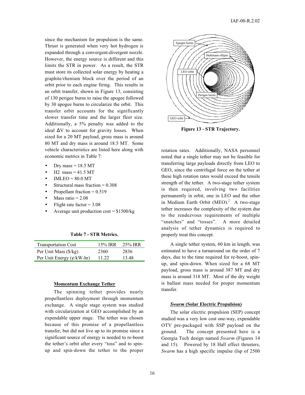since the mechanism for propulsion is the same. Thrust is generated when very hot hydrogen is expanded through a convergent-divergent nozzle. However, the energy source is different and this limits the STR in power. As a result, the STR must store its collected solar energy by heating a graphite/rhenium block over the period of an orbit prior to each engine firing. This results in an orbit transfer, shown in Figure 13, consisting of 130 perigee burns to raise the apogee followed by 30 apogee burns to circularize the orbit. This transfer orbit accounts for the significantly slower transfer time and the larger fleet size. Additionally, a 5% penalty was added to the ideal  $\Delta V$  to account for gravity losses. When sized for a 20 MT payload, gross mass is around 80 MT and dry mass is around 18.5 MT. Some vehicle characteristics are listed here along with economic metrics in Table 7:

- Drv mass  $= 18.5$  MT
- $H2$  mass = 41.5 MT
- $IMLEO = 80.0 MT$
- Structural mass fraction  $= 0.308$
- Propellant fraction  $= 0.519$
- Mass ratio  $= 2.08$
- Flight rate factor  $= 3.08$
- Average unit production  $cost = $1500/kg$

**Table 7 - STR Metrics.**

| <b>Transportation Cost</b>            | 15% IRR | 25% IRR |
|---------------------------------------|---------|---------|
| Per Unit Mass (\$/kg)                 | 2360    | 2836    |
| Per Unit Energy $(\phi/\text{kW-hr})$ | 11.22   | 13.48   |

#### **Momentum Exchange Tether**

The spinning tether provides nearly propellantless deployment through momentum exchange. A single stage system was studied with circularization at GEO accomplished by an expendable upper stage. The tether was chosen because of this promise of a propellantless transfer, but did not live up to its promise since a significant source of energy is needed to re-boost the tether's orbit after every "toss" and to spinup and spin-down the tether to the proper



**Figure 13 - STR Trajectory.**

rotation rates. Additionally, NASA personnel noted that a single tether may not be feasible for transferring large payloads directly from LEO to GEO, since the centrifugal force on the tether at these high rotation rates would exceed the tensile strength of the tether. A two-stage tether system is then required, involving two facilities permanently in orbit, one in LEO and the other in Medium Earth Orbit (MEO). $^{2}$  A two-stage tether increases the complexity of the system due to the rendezvous requirements of multiple "snatches" and "tosses". A more detailed analysis of tether dynamics is required to properly treat this concept.

A single tether system, 60 km in length, was estimated to have a turnaround on the order of 7 days, due to the time required for re-boost, spinup, and spin-down. When sized for a 68 MT payload, gross mass is around 387 MT and dry mass is around 318 MT. Most of the dry weight is ballast mass needed for proper momentum transfer.

## *Swarm* **(Solar Electric Propulsion)**

The solar electric propulsion (SEP) concept studied was a very low cost one-way, expendable OTV pre-packaged with SSP payload on the ground. The concept presented here is a Georgia Tech design named *Swarm* (Figures 14 and 15). Powered by 18 Hall effect thrusters, *Swarm* has a high specific impulse (Isp of 2500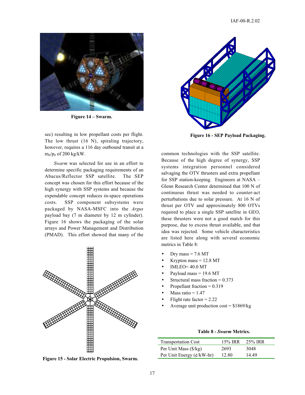

**Figure 14 – Swarm.**

sec) resulting in low propellant costs per flight. The low thrust (16 N), spiraling trajectory, however, requires a 116 day outbound transit at a  $m_0$ / $p_0$  of 200 kg/kW.

*Swarm* was selected for use in an effort to determine specific packaging requirements of an Abacus/Reflector SSP satellite. The SEP concept was chosen for this effort because of the high synergy with SSP systems and because the expendable concept reduces in-space operations costs. SSP component subsystems were packaged by NASA-MSFC into the *Argus* payload bay (7 m diameter by 12 m cylinder). Figure 16 shows the packaging of the solar arrays and Power Management and Distribution (PMAD). This effort showed that many of the



**Figure 15 - Solar Electric Propulsion, Swarm.**



**Figure 16 - SEP Payload Packaging.**

common technologies with the SSP satellite. Because of the high degree of synergy, SSP systems integration personnel considered salvaging the OTV thrusters and extra propellant for SSP station-keeping. Engineers at NASA – Glenn Research Center determined that 100 N of continuous thrust was needed to counter-act perturbations due to solar pressure. At 16 N of thrust per OTV and approximately 800 OTVs required to place a single SSP satellite in GEO, these thrusters were not a good match for this purpose, due to excess thrust available, and that idea was rejected. Some vehicle characteristics are listed here along with several economic metrics in Table 8:

- Dry mass  $= 7.6$  MT
- Krypton mass  $= 12.8$  MT
- IMLEO= 40.0 MT
- Payload mass  $= 19.6$  MT
- Structural mass fraction  $= 0.373$
- Propellant fraction = 0.319
- Mass ratio  $= 1.47$
- Flight rate factor  $= 2.22$
- Average unit production  $cost = $1869/kg$

|  |  |  | Table 8 - Swarm Metrics. |
|--|--|--|--------------------------|
|--|--|--|--------------------------|

| <b>Transportation Cost</b>            |       | $15\%$ IRR $25\%$ IRR |
|---------------------------------------|-------|-----------------------|
| Per Unit Mass (\$/kg)                 | 2693  | 3048                  |
| Per Unit Energy $(\phi/\text{kW-hr})$ | 12.80 | 14.49                 |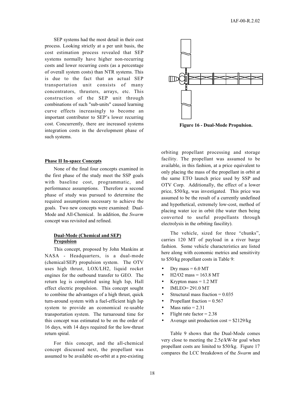SEP systems had the most detail in their cost process. Looking strictly at a per unit basis, the cost estimation process revealed that SEP systems normally have higher non-recurring costs and lower recurring costs (as a percentage of overall system costs) than NTR systems. This is due to the fact that an actual SEP transportation unit consists of many concentrators, thrusters, arrays, etc. This construction of the SEP unit through combinations of such "sub-units" caused learning curve effects increasingly to become an important contributor to SEP's lower recurring cost. Concurrently, there are increased systems integration costs in the development phase of such systems.

#### **Phase II In-space Concepts**

None of the final four concepts examined in the first phase of the study meet the SSP goals with baseline cost, programmatic, and performance assumptions. Therefore a second phase of study was pursued to determine the required assumptions necessary to achieve the goals. Two new concepts were examined: Dual-Mode and All-Chemical. In addition, the *Swarm* concept was revisited and refined.

## **Dual-Mode (Chemical and SEP) Propulsion**

This concept, proposed by John Mankins at NASA - Headquarters, is a dual-mode (chemical/SEP) propulsion system. The OTV uses high thrust, LOX/LH2, liquid rocket engines for the outbound transfer to GEO. The return leg is completed using high Isp, Hall effect electric propulsion. This concept sought to combine the advantages of a high thrust, quick turn-around system with a fuel-efficient high Isp system to provide an economical re-usable transportation system. The turnaround time for this concept was estimated to be on the order of 16 days, with 14 days required for the low-thrust return spiral.

For this concept, and the all-chemical concept discussed next, the propellant was assumed to be available on-orbit at a pre-existing



**Figure 16 - Dual-Mode Propulsion.**

orbiting propellant processing and storage facility. The propellant was assumed to be available, in this fashion, at a price equivalent to only placing the mass of the propellant in orbit at the same ETO launch price used by SSP and OTV Corp. Additionally, the effect of a lower price, \$50/kg, was investigated. This price was assumed to be the result of a currently undefined and hypothetical, extremely low-cost, method of placing water ice in orbit (the water then being converted to useful propellants through electrolysis in the orbiting fascility).

The vehicle, sized for three "chunks", carries 120 MT of payload in a river barge fashion. Some vehicle characteristics are listed here along with economic metrics and sensitivity to \$50/kg propellant costs in Table 9:

- Dry mass  $= 6.0$  MT
- $H2/O2$  mass = 163.8 MT
- Krypton mass  $= 1.2$  MT
- IMLEO= 291.0 MT
- Structural mass fraction  $= 0.035$
- Propellant fraction  $= 0.567$
- Mass ratio  $= 2.31$
- Flight rate factor  $= 2.38$
- Average unit production  $cost = $2129/kg$

Table 9 shows that the Dual-Mode comes very close to meeting the  $2.5¢/kW$ -hr goal when propellant costs are limited to \$50/kg. Figure 17 compares the LCC breakdown of the *Swarm* and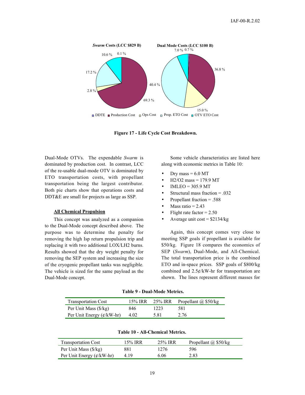



Dual-Mode OTVs. The expendable *Swarm* is dominated by production cost. In contrast, LCC of the re-usable dual-mode OTV is dominated by ETO transportation costs, with propellant transportation being the largest contributor. Both pie charts show that operations costs and DDT&E are small for projects as large as SSP.

#### **All Chemical Propulsion**

This concept was analyzed as a companion to the Dual-Mode concept described above. The purpose was to determine the penalty for removing the high Isp return propulsion trip and replacing it with two additional LOX/LH2 burns. Results showed that the dry weight penalty for removing the SEP system and increasing the size of the cryogenic propellant tanks was negligible. The vehicle is sized for the same payload as the Dual-Mode concept.

Some vehicle characteristics are listed here along with economic metrics in Table 10:

- Drv mass  $= 6.0$  MT
- $H2/O2$  mass = 179.9 MT
- $IMLEO = 305.9$  MT
- Structural mass fraction  $= .032$
- Propellant fraction = .588
- Mass ratio  $= 2.43$
- Flight rate factor  $= 2.50$
- Average unit  $cost = $2134/kg$

Again, this concept comes very close to meeting SSP goals if propellant is available for \$50/kg. Figure 18 compares the economics of SEP (*Swarm*), Dual-Mode, and All-Chemical. The total transportation price is the combined ETO and in-space prices. SSP goals of \$800/kg combined and  $2.5¢/kW$ -hr for transportation are shown. The lines represent different masses for

#### **Table 9 - Dual-Mode Metrics.**

| <b>Transportation Cost</b>     | 15% IRR |      | 25% IRR Propellant $\omega$ \$50/kg |
|--------------------------------|---------|------|-------------------------------------|
| Per Unit Mass (\$/kg)          | 846     | 1223 | 581                                 |
| Per Unit Energy $(\phi/kW-hr)$ | 4.02    | 5.81 | 2.76                                |

**Table 10 - All-Chemical Metrics.**

| <b>Transportation Cost</b>     | 15% IRR | 25% IRR | Propellant $\omega$ \$50/kg |
|--------------------------------|---------|---------|-----------------------------|
| Per Unit Mass (\$/kg)          | 881     | 1276    | 596                         |
| Per Unit Energy $(\phi/kW-hr)$ | 4.19    | 6.06    | 2.83                        |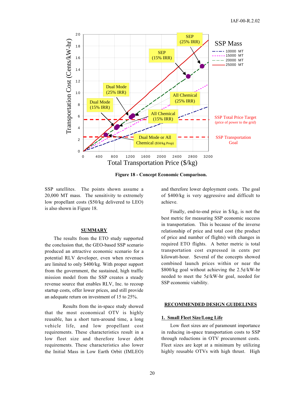

**Figure 18 - Concept Economic Comparison.**

SSP satellites. The points shown assume a 20,000 MT mass. The sensitivity to extremely low propellant costs (\$50/kg delivered to LEO) is also shown in Figure 18.

#### **SUMMARY**

The results from the ETO study supported the conclusion that, the GEO-based SSP scenario produced an attractive economic scenario for a potential RLV developer, even when revenues are limited to only \$400/kg. With proper support from the government, the sustained, high traffic mission model from the SSP creates a steady revenue source that enables RLV, Inc. to recoup startup costs, offer lower prices, and still provide an adequate return on investment of 15 to 25%.

Results from the in-space study showed that the most economical OTV is highly reusable, has a short turn-around time, a long vehicle life, and low propellant cost requirements. These characteristics result in a low fleet size and therefore lower debt requirements. These characteristics also lower the Initial Mass in Low Earth Orbit (IMLEO) and therefore lower deployment costs. The goal of \$400/kg is very aggressive and difficult to achieve.

Finally, end-to-end price in \$/kg, is not the best metric for measuring SSP economic success in transportation. This is because of the inverse relationship of price and total cost (the product of price and number of flights) with changes in required ETO flights. A better metric is total transportation cost expressed in cents per kilowatt-hour. Several of the concepts showed combined launch prices within or near the  $$800/kg$  goal without achieving the  $2.5¢/kWhr$ needed to meet the  $5¢/kW-hr$  goal, needed for SSP economic viability.

## **RECOMMENDED DESIGN GUIDELINES**

## **1. Small Fleet Size/Long Life**

Low fleet sizes are of paramount importance in reducing in-space transportation costs to SSP through reductions in OTV procurement costs. Fleet sizes are kept at a minimum by utilizing highly reusable OTVs with high thrust. High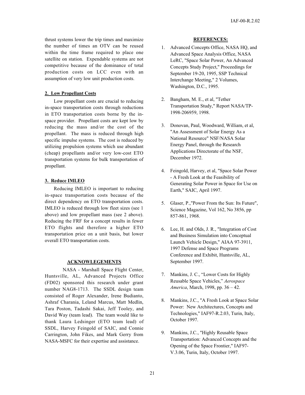thrust systems lower the trip times and maximize the number of times an OTV can be reused within the time frame required to place one satellite on station. Expendable systems are not competitive because of the dominance of total production costs on LCC even with an assumption of very low unit production costs.

## **2. Low Propellant Costs**

Low propellant costs are crucial to reducing in-space transportation costs through reductions in ETO transportation costs borne by the inspace provider. Propellant costs are kept low by reducing the mass and/or the cost of the propellant. The mass is reduced through high specific impulse systems. The cost is reduced by utilizing propulsion systems which use abundant (cheap) propellants and/or very low-cost ETO transportation systems for bulk transportation of propellant.

## **3. Reduce IMLEO**

Reducing IMLEO is important to reducing in-space transportation costs because of the direct dependency on ETO transportation costs. IMLEO is reduced through low fleet sizes (see 1 above) and low propellant mass (see 2 above). Reducing the FRF for a concept results in fewer ETO flights and therefore a higher ETO transportation price on a unit basis, but lower overall ETO transportation costs.

## **ACKNOWLEGEMENTS**

NASA - Marshall Space Flight Center, Huntsville, AL, Advanced Projects Office (FD02) sponsored this research under grant number NAG8-1713. The SSDL design team consisted of Roger Alexander, Irene Budianto, Ashraf Charania, Leland Marcus, Matt Medlin, Tara Poston, Tadashi Sakai, Jeff Tooley, and David Way (team lead). The team would like to thank Laura Ledsinger (ETO team lead) of SSDL, Harvey Feingold of SAIC, and Connie Carrington, John Fikes, and Mark Gerry from NASA-MSFC for their expertise and assistance.

#### **REFERENCES:**

- 1. Advanced Concepts Office, NASA HQ, and Advanced Space Analysis Office, NASA LeRC, "Space Solar Power, An Advanced Concepts Study Project," Proceedings for September 19-20, 1995, SSP Technical Interchange Meeting," 2 Volumes, Washington, D.C., 1995.
- 2. Bangham, M. E., et al, "Tether Transportation Study," Report NASA/TP-1998-206959, 1998.
- 3. Donovan, Paul, Woodward, William, et al, "An Assessment of Solar Energy As a National Resource" NSF/NASA Solar Energy Panel, through the Research Applications Directorate of the NSF, December 1972.
- 4. Feingold, Harvey, et al, "Space Solar Power - A Fresh Look at the Feasibility of Generating Solar Power in Space for Use on Earth," SAIC, April 1997.
- 5. Glaser, P.,"Power From the Sun: Its Future", Science Magazine, Vol 162, No 3856, pp 857-861, 1968.
- 6. Lee, H. and Olds, J. R., "Integration of Cost and Business Simulation into Conceptual Launch Vehicle Design," AIAA 97-3911, 1997 Defense and Space Programs Conference and Exhibit, Huntsville, AL, September 1997.
- 7. Mankins, J. C., "Lower Costs for Highly Reusable Space Vehicles," *Aerospace America*, March, 1998, pp. 36 – 42.
- 8. Mankins, J.C., "A Fresh Look at Space Solar Power: New Architectures, Concepts and Technologies," IAF97-R.2.03, Turin, Italy, October 1997.
- 9. Mankins, J.C., "Highly Reusable Space Transportation: Advanced Concepts and the Opening of the Space Frontier," IAF97- V.3.06, Turin, Italy, October 1997.